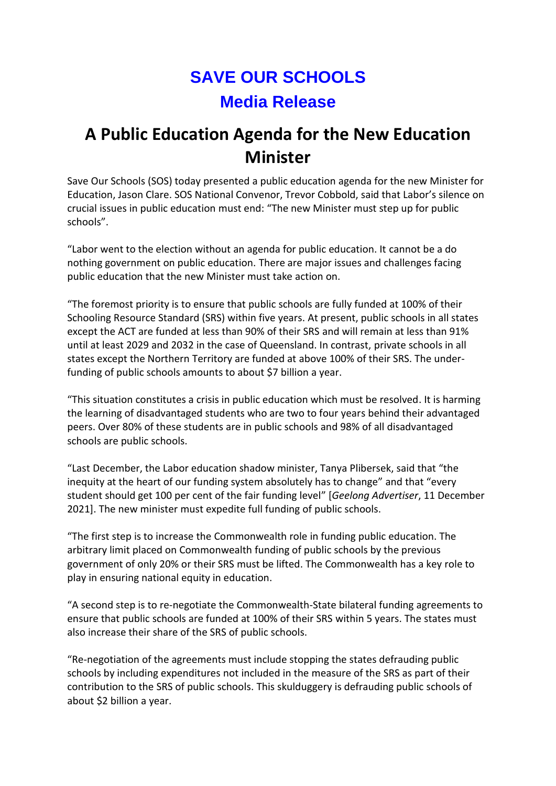## **SAVE OUR SCHOOLS Media Release**

## **A Public Education Agenda for the New Education Minister**

Save Our Schools (SOS) today presented a public education agenda for the new Minister for Education, Jason Clare. SOS National Convenor, Trevor Cobbold, said that Labor's silence on crucial issues in public education must end: "The new Minister must step up for public schools".

"Labor went to the election without an agenda for public education. It cannot be a do nothing government on public education. There are major issues and challenges facing public education that the new Minister must take action on.

"The foremost priority is to ensure that public schools are fully funded at 100% of their Schooling Resource Standard (SRS) within five years. At present, public schools in all states except the ACT are funded at less than 90% of their SRS and will remain at less than 91% until at least 2029 and 2032 in the case of Queensland. In contrast, private schools in all states except the Northern Territory are funded at above 100% of their SRS. The underfunding of public schools amounts to about \$7 billion a year.

"This situation constitutes a crisis in public education which must be resolved. It is harming the learning of disadvantaged students who are two to four years behind their advantaged peers. Over 80% of these students are in public schools and 98% of all disadvantaged schools are public schools.

"Last December, the Labor education shadow minister, Tanya Plibersek, said that "the inequity at the heart of our funding system absolutely has to change" and that "every student should get 100 per cent of the fair funding level" [*Geelong Advertiser*, 11 December 2021]. The new minister must expedite full funding of public schools.

"The first step is to increase the Commonwealth role in funding public education. The arbitrary limit placed on Commonwealth funding of public schools by the previous government of only 20% or their SRS must be lifted. The Commonwealth has a key role to play in ensuring national equity in education.

"A second step is to re-negotiate the Commonwealth-State bilateral funding agreements to ensure that public schools are funded at 100% of their SRS within 5 years. The states must also increase their share of the SRS of public schools.

"Re-negotiation of the agreements must include stopping the states defrauding public schools by including expenditures not included in the measure of the SRS as part of their contribution to the SRS of public schools. This skulduggery is defrauding public schools of about \$2 billion a year.